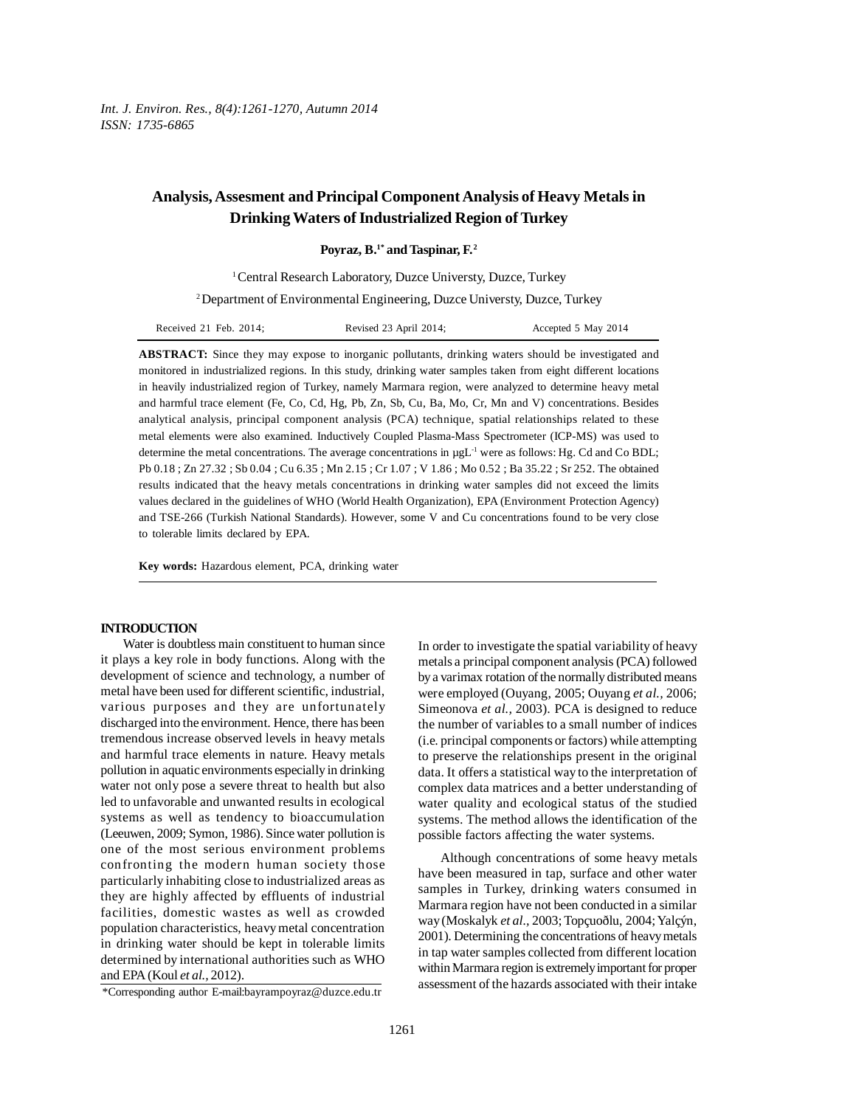# **Analysis, Assesment and Principal Component Analysis of Heavy Metals in Drinking Waters of Industrialized Region of Turkey**

# Poyraz, B.<sup>1\*</sup> and Taspinar, F.<sup>2</sup>

<sup>1</sup> Central Research Laboratory, Duzce Universty, Duzce, Turkey

2 Department of Environmental Engineering, Duzce Universty, Duzce, Turkey

| Received 21 Feb. $2014$ ; | Revised 23 April 2014; | Accepted 5 May 2014 |
|---------------------------|------------------------|---------------------|
|---------------------------|------------------------|---------------------|

**ABSTRACT:** Since they may expose to inorganic pollutants, drinking waters should be investigated and monitored in industrialized regions. In this study, drinking water samples taken from eight different locations in heavily industrialized region of Turkey, namely Marmara region, were analyzed to determine heavy metal and harmful trace element (Fe, Co, Cd, Hg, Pb, Zn, Sb, Cu, Ba, Mo, Cr, Mn and V) concentrations. Besides analytical analysis, principal component analysis (PCA) technique, spatial relationships related to these metal elements were also examined. Inductively Coupled Plasma-Mass Spectrometer (ICP-MS) was used to determine the metal concentrations. The average concentrations in  $\mu gL^{-1}$  were as follows: Hg. Cd and Co BDL; Pb 0.18 ; Zn 27.32 ; Sb 0.04 ; Cu 6.35 ; Mn 2.15 ; Cr 1.07 ; V 1.86 ; Mo 0.52 ; Ba 35.22 ; Sr 252. The obtained results indicated that the heavy metals concentrations in drinking water samples did not exceed the limits values declared in the guidelines of WHO (World Health Organization), EPA (Environment Protection Agency) and TSE-266 (Turkish National Standards). However, some V and Cu concentrations found to be very close to tolerable limits declared by EPA.

**Key words:** Hazardous element, PCA, drinking water

#### **INTRODUCTION**

Water is doubtless main constituent to human since it plays a key role in body functions. Along with the development of science and technology, a number of metal have been used for different scientific, industrial, various purposes and they are unfortunately discharged into the environment. Hence, there has been tremendous increase observed levels in heavy metals and harmful trace elements in nature. Heavy metals pollution in aquatic environments especially in drinking water not only pose a severe threat to health but also led to unfavorable and unwanted results in ecological systems as well as tendency to bioaccumulation (Leeuwen, 2009; Symon, 1986). Since water pollution is one of the most serious environment problems confronting the modern human society those particularly inhabiting close to industrialized areas as they are highly affected by effluents of industrial facilities, domestic wastes as well as crowded population characteristics, heavy metal concentration in drinking water should be kept in tolerable limits determined by international authorities such as WHO and EPA (Koul *et al.,* 2012).

In order to investigate the spatial variability of heavy metals a principal component analysis (PCA) followed by a varimax rotation of the normally distributed means were employed (Ouyang, 2005; Ouyang *et al.,* 2006; Simeonova *et al.,* 2003). PCA is designed to reduce the number of variables to a small number of indices (i.e. principal components or factors) while attempting to preserve the relationships present in the original data. It offers a statistical way to the interpretation of complex data matrices and a better understanding of water quality and ecological status of the studied systems. The method allows the identification of the possible factors affecting the water systems.

Although concentrations of some heavy metals have been measured in tap, surface and other water samples in Turkey, drinking waters consumed in Marmara region have not been conducted in a similar way (Moskalyk *et al.,* 2003; Topçuoðlu, 2004; Yalçýn, 2001). Determining the concentrations of heavy metals in tap water samples collected from different location within Marmara region is extremely important for proper assessment of the hazards associated with their intake

<sup>\*</sup>Corresponding author E-mail:bayrampoyraz@duzce.edu.tr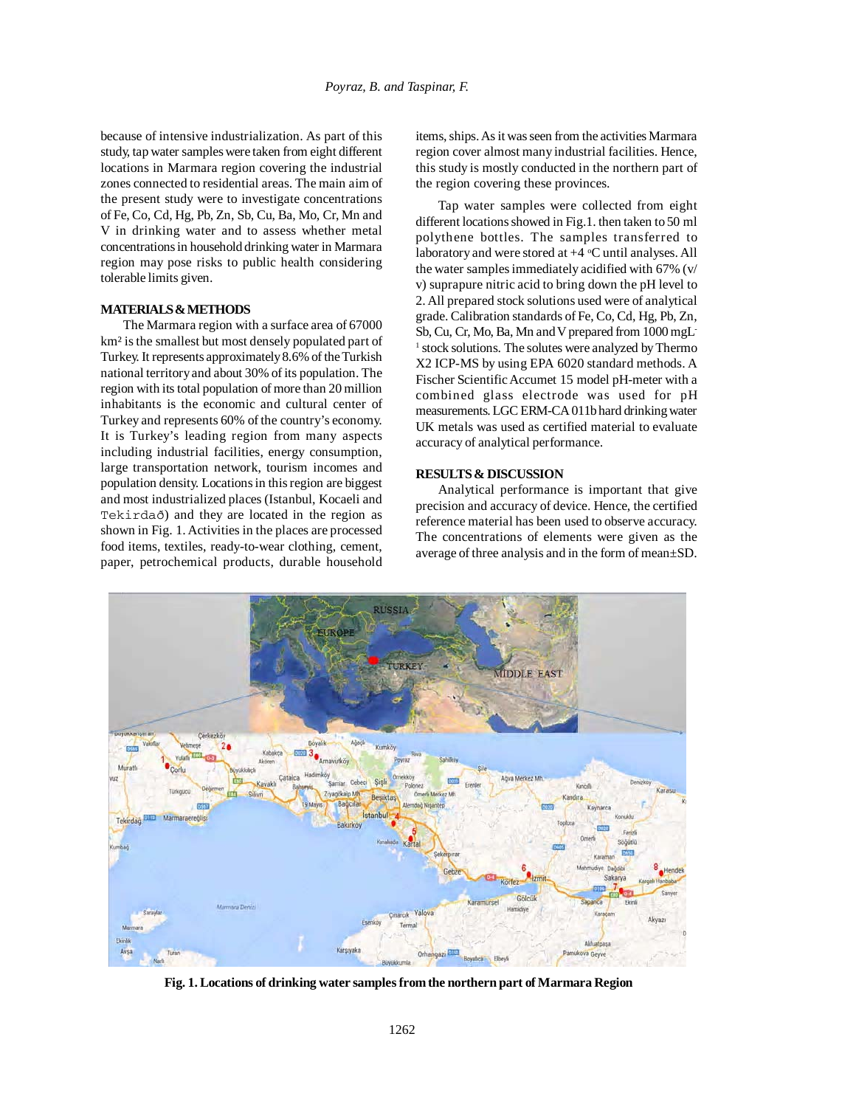because of intensive industrialization. As part of this study, tap water samples were taken from eight different locations in Marmara region covering the industrial zones connected to residential areas. The main aim of the present study were to investigate concentrations of Fe, Co, Cd, Hg, Pb, Zn, Sb, Cu, Ba, Mo, Cr, Mn and V in drinking water and to assess whether metal concentrations in household drinking water in Marmara region may pose risks to public health considering tolerable limits given.

### **MATERIALS & METHODS**

The Marmara region with a surface area of 67000 km² is the smallest but most densely populated part of Turkey. It represents approximately 8.6% of the Turkish national territory and about 30% of its population. The region with its total population of more than 20 million inhabitants is the economic and cultural center of Turkey and represents 60% of the country's economy. It is Turkey's leading region from many aspects including industrial facilities, energy consumption, large transportation network, tourism incomes and population density. Locations in this region are biggest and most industrialized places (Istanbul, Kocaeli and Tekirdað) and they are located in the region as shown in Fig. 1. Activities in the places are processed food items, textiles, ready-to-wear clothing, cement, paper, petrochemical products, durable household

items, ships. As it was seen from the activities Marmara region cover almost many industrial facilities. Hence, this study is mostly conducted in the northern part of the region covering these provinces.

Tap water samples were collected from eight different locations showed in Fig.1. then taken to 50 ml polythene bottles. The samples transferred to laboratory and were stored at +4 °C until analyses. All the water samples immediately acidified with 67% (v/ v) suprapure nitric acid to bring down the pH level to 2. All prepared stock solutions used were of analytical grade. Calibration standards of Fe, Co, Cd, Hg, Pb, Zn, Sb, Cu, Cr, Mo, Ba, Mn and V prepared from 1000 mgL-<sup>1</sup> stock solutions. The solutes were analyzed by Thermo X2 ICP-MS by using EPA 6020 standard methods. A Fischer Scientific Accumet 15 model pH-meter with a combined glass electrode was used for pH measurements. LGC ERM-CA 011b hard drinking water UK metals was used as certified material to evaluate accuracy of analytical performance.

#### **RESULTS & DISCUSSION**

Analytical performance is important that give precision and accuracy of device. Hence, the certified reference material has been used to observe accuracy. The concentrations of elements were given as the average of three analysis and in the form of mean±SD.



**Fig. 1. Locations of drinking water samples from the northern part of Marmara Region**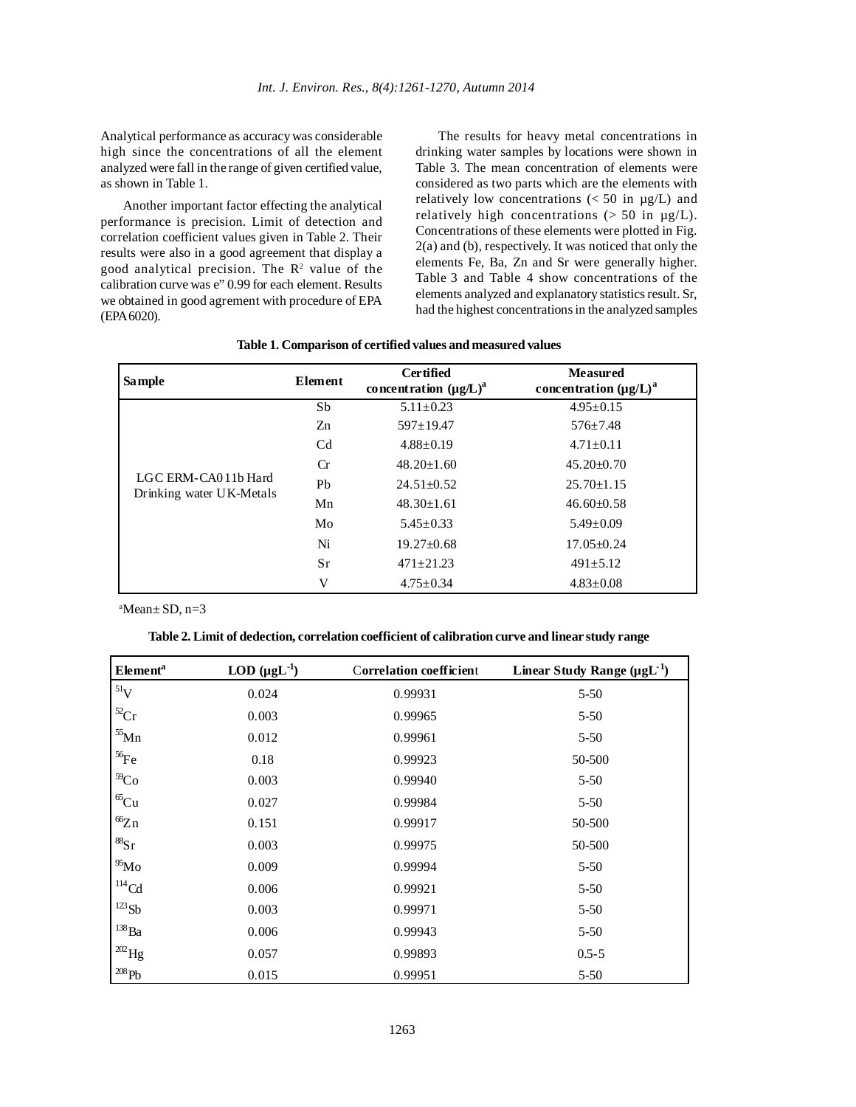Analytical performance as accuracy was considerable high since the concentrations of all the element analyzed were fall in the range of given certified value, as shown in Table 1.

Another important factor effecting the analytical performance is precision. Limit of detection and correlation coefficient values given in Table 2. Their results were also in a good agreement that display a good analytical precision. The  $\mathbb{R}^2$  value of the calibration curve was e" 0.99 for each element. Results we obtained in good agrement with procedure of EPA (EPA 6020).

The results for heavy metal concentrations in drinking water samples by locations were shown in Table 3. The mean concentration of elements were considered as two parts which are the elements with relatively low concentrations  $\langle$  < 50 in  $\mu$ g/L) and relatively high concentrations  $(> 50$  in  $\mu$ g/L). Concentrations of these elements were plotted in Fig. 2(a) and (b), respectively. It was noticed that only the elements Fe, Ba, Zn and Sr were generally higher. Table 3 and Table 4 show concentrations of the elements analyzed and explanatory statistics result. Sr, had the highest concentrations in the analyzed samples

# **Table 1. Comparison of certified values and measured values**

| <b>Sample</b>                                   | Element        | <b>Certified</b><br>concentration $(\mu g/L)^a$ | <b>Measured</b><br>concentration $(\mu g/L)^a$ |
|-------------------------------------------------|----------------|-------------------------------------------------|------------------------------------------------|
|                                                 | Sb             | $5.11 \pm 0.23$                                 | $4.95 \pm 0.15$                                |
|                                                 | Zn             | $597 \pm 19.47$                                 | $576 \pm 7.48$                                 |
|                                                 | C <sub>d</sub> | $4.88 \pm 0.19$                                 | $4.71 \pm 0.11$                                |
|                                                 | <b>Cr</b>      | $48.20 + 1.60$                                  | $45.20 \pm 0.70$                               |
| LGC ERM-CA011b Hard<br>Drinking water UK-Metals | Pb             | $24.51 + 0.52$                                  | $25.70 \pm 1.15$                               |
|                                                 | Mn             | $48.30 \pm 1.61$                                | $46.60 \pm 0.58$                               |
|                                                 | Mo             | $5.45 + 0.33$                                   | $5.49 \pm 0.09$                                |
|                                                 | Ni             | $19.27 \pm 0.68$                                | $17.05 + 0.24$                                 |
|                                                 | Sr             | $471 + 21.23$                                   | $491 \pm 5.12$                                 |
|                                                 | V              | $4.75 \pm 0.34$                                 | $4.83 \pm 0.08$                                |

a Mean± SD, n=3

| Table 2. Limit of dedection, correlation coefficient of calibration curve and linear study range |  |
|--------------------------------------------------------------------------------------------------|--|
|--------------------------------------------------------------------------------------------------|--|

| <b>Element</b> <sup>a</sup> | LOD $(\mu g L^{-1})$ | <b>Correlation coefficient</b> | Linear Study Range ( $\mu g L^{-1}$ ) |
|-----------------------------|----------------------|--------------------------------|---------------------------------------|
| $^{51}V$                    | 0.024                | 0.99931                        | $5 - 50$                              |
| ${}^{52}Cr$                 | 0.003                | 0.99965                        | 5-50                                  |
| $55$ Mn                     | 0.012                | 0.99961                        | $5 - 50$                              |
| ${}^{56}\text{Fe}$          | 0.18                 | 0.99923                        | 50-500                                |
| 59 <sub>Co</sub>            | 0.003                | 0.99940                        | $5 - 50$                              |
| ${}^{65}Cu$                 | 0.027                | 0.99984                        | $5 - 50$                              |
| 66Zn                        | 0.151                | 0.99917                        | 50-500                                |
| ${}^{88}Sr$                 | 0.003                | 0.99975                        | 50-500                                |
| $^{95}$ Mo                  | 0.009                | 0.99994                        | $5 - 50$                              |
| $^{114}$ Cd                 | 0.006                | 0.99921                        | $5 - 50$                              |
| $^{123}Sb$                  | 0.003                | 0.99971                        | $5 - 50$                              |
| $^{138}Ba$                  | 0.006                | 0.99943                        | $5-50$                                |
| $1^{202}$ Hg                | 0.057                | 0.99893                        | $0.5 - 5$                             |
| $^{208}\mathrm{Pb}$         | 0.015                | 0.99951                        | $5-50$                                |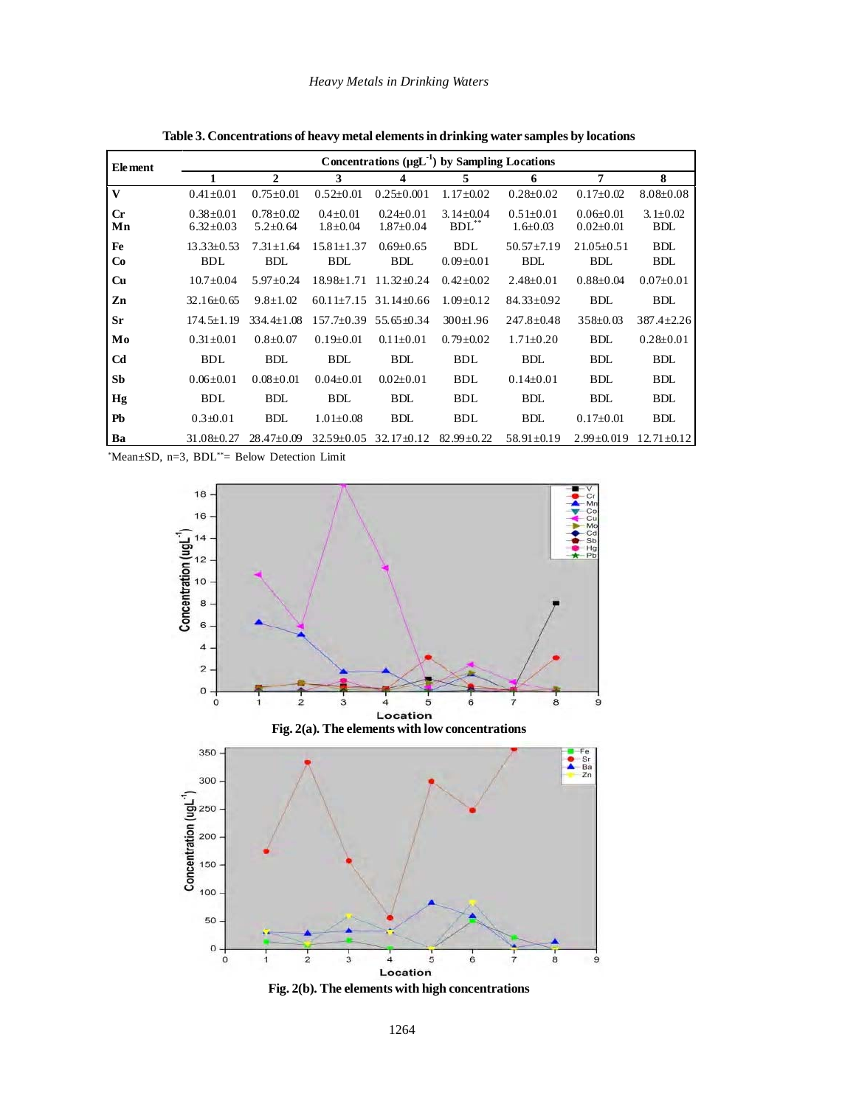| <b>Element</b> | Concentrations $(\mu g L^{-1})$ by Sampling Locations |                                   |                                  |                                    |                               |                                   |                                    |                              |  |
|----------------|-------------------------------------------------------|-----------------------------------|----------------------------------|------------------------------------|-------------------------------|-----------------------------------|------------------------------------|------------------------------|--|
|                | 1                                                     | $\mathbf{2}$                      | 3                                | 4                                  | 5                             | 6                                 | 7                                  | 8                            |  |
| V              | $0.41 \pm 0.01$                                       | $0.75 \pm 0.01$                   | $0.52 \pm 0.01$                  | $0.25 \pm 0.001$                   | $1.17 \pm 0.02$               | $0.28 \pm 0.02$                   | $0.17 \pm 0.02$                    | $8.08 \pm 0.08$              |  |
| $C_{r}$<br>Mn  | $0.38 + 0.01$<br>$6.32 \pm 0.03$                      | $0.78 \pm 0.02$<br>$5.2 \pm 0.64$ | $0.4 \pm 0.01$<br>$1.8 \pm 0.04$ | $0.24 \pm 0.01$<br>$1.87 \pm 0.04$ | $3.14 \pm 0.04$<br>$BDL**$    | $0.51 \pm 0.01$<br>$1.6 \pm 0.03$ | $0.06 \pm 0.01$<br>$0.02 \pm 0.01$ | $3.1 \pm 0.02$<br><b>BDL</b> |  |
| Fe<br>Co       | $13.33 \pm 0.53$<br><b>BDL</b>                        | $7.31 \pm 1.64$<br><b>BDL</b>     | $15.81 \pm 1.37$<br><b>BDL</b>   | $0.69 \pm 0.65$<br><b>BDL</b>      | <b>BDL</b><br>$0.09 \pm 0.01$ | $50.57 \pm 7.19$<br><b>BDL</b>    | $21.05 \pm 0.51$<br><b>BDL</b>     | <b>BDL</b><br><b>BDL</b>     |  |
| Cu             | $10.7 \pm 0.04$                                       | $5.97 \pm 0.24$                   | $18.98 \pm 1.71$                 | $11.32 \pm 0.24$                   | $0.42 \pm 0.02$               | $2.48 \pm 0.01$                   | $0.88 \pm 0.04$                    | $0.07 \pm 0.01$              |  |
| Zn             | $32.16 \pm 0.65$                                      | $9.8 \pm 1.02$                    | $60.11 \pm 7.15$                 | $31.14\pm0.66$                     | $1.09 \pm 0.12$               | $84.33 \pm 0.92$                  | <b>BDL</b>                         | <b>BDL</b>                   |  |
| Sr             | $174.5 + 1.19$                                        | 334.4±1.08                        | 157.7±0.39                       | $55.65 \pm 0.34$                   | $300 \pm 1.96$                | $247.8 \pm 0.48$                  | $358 \pm 0.03$                     | $387.4 \pm 2.26$             |  |
| Mo             | $0.31 \pm 0.01$                                       | $0.8 \pm 0.07$                    | $0.19 \pm 0.01$                  | $0.11 \pm 0.01$                    | $0.79 \pm 0.02$               | $1.71 \pm 0.20$                   | <b>BDL</b>                         | $0.28 \pm 0.01$              |  |
| C <sub>d</sub> | <b>BDL</b>                                            | <b>BDL</b>                        | <b>BDL</b>                       | <b>BDL</b>                         | <b>BDL</b>                    | <b>BDL</b>                        | <b>BDL</b>                         | <b>BDL</b>                   |  |
| Sb             | $0.06 \pm 0.01$                                       | $0.08 \pm 0.01$                   | $0.04 \pm 0.01$                  | $0.02 \pm 0.01$                    | <b>BDL</b>                    | $0.14 \pm 0.01$                   | <b>BDL</b>                         | <b>BDL</b>                   |  |
| Hg             | <b>BDL</b>                                            | <b>BDL</b>                        | <b>BDL</b>                       | <b>BDL</b>                         | <b>BDL</b>                    | <b>BDL</b>                        | <b>BDL</b>                         | <b>BDL</b>                   |  |
| Pb             | $0.3 + 0.01$                                          | <b>BDL</b>                        | $1.01 \pm 0.08$                  | <b>BDL</b>                         | <b>BDL</b>                    | <b>BDL</b>                        | $0.17 \pm 0.01$                    | <b>BDL</b>                   |  |
| Ba             | $31.08 \pm 0.27$                                      | $28.47 \pm 0.09$                  | $32.59 \pm 0.05$                 | $32.17 \pm 0.12$                   | $82.99 \pm 0.22$              | $58.91 \pm 0.19$                  | $2.99 \pm 0.019$                   | $12.71 \pm 0.12$             |  |

**Table 3. Concentrations of heavy metal elements in drinking water samples by locations**

\* Mean±SD, n=3, BDL\*\*= Below Detection Limit

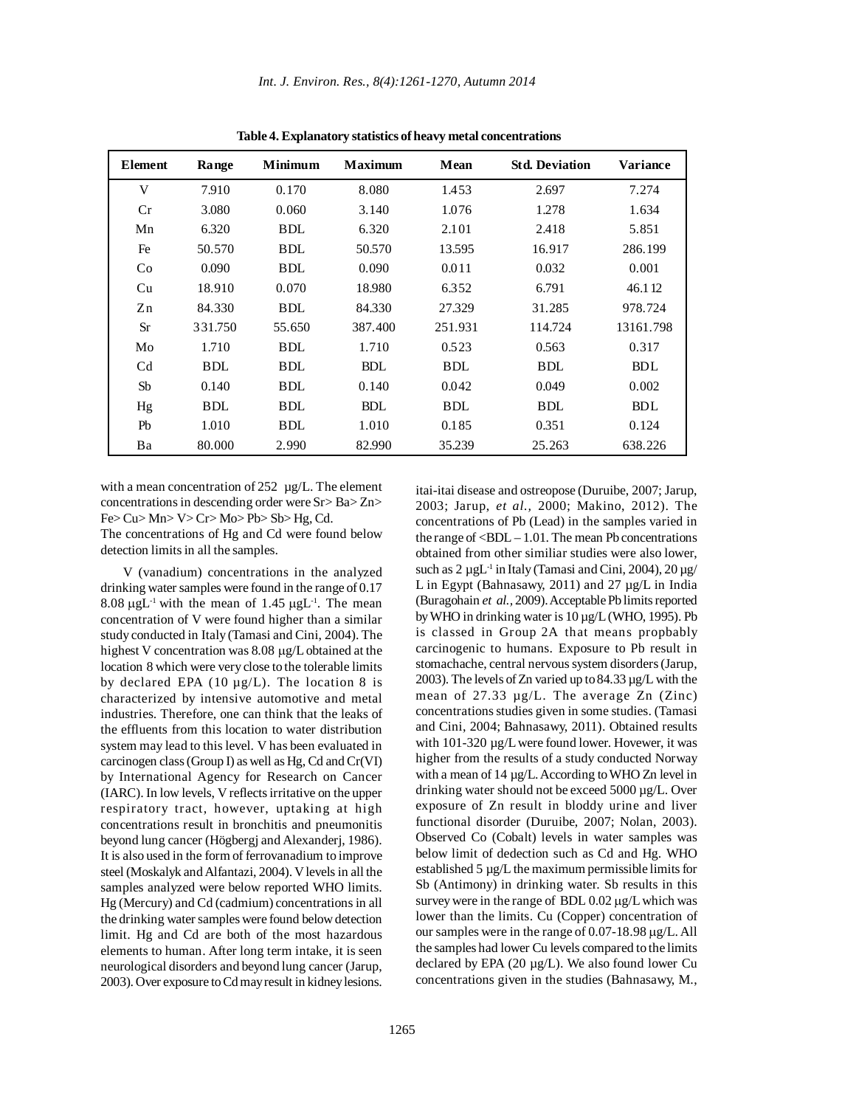| Element        | Range      | <b>Minimum</b> | <b>Maximum</b> | Mean       | <b>Std. Deviation</b> | <b>Variance</b> |
|----------------|------------|----------------|----------------|------------|-----------------------|-----------------|
| V              | 7.910      | 0.170          | 8.080          | 1.453      | 2.697                 | 7.274           |
| Cr             | 3.080      | 0.060          | 3.140          | 1.076      | 1.278                 | 1.634           |
| Mn             | 6.320      | <b>BDL</b>     | 6.320          | 2.101      | 2.418                 | 5.851           |
| Fe             | 50.570     | <b>BDL</b>     | 50.570         | 13.595     | 16.917                | 286.199         |
| Co             | 0.090      | <b>BDL</b>     | 0.090          | 0.011      | 0.032                 | 0.001           |
| Cu             | 18.910     | 0.070          | 18.980         | 6.352      | 6.791                 | 46.112          |
| Zn             | 84.330     | <b>BDL</b>     | 84.330         | 27.329     | 31.285                | 978.724         |
| <b>Sr</b>      | 331.750    | 55.650         | 387.400        | 251.931    | 114.724               | 13161.798       |
| Mo             | 1.710      | <b>BDL</b>     | 1.710          | 0.523      | 0.563                 | 0.317           |
| C <sub>d</sub> | <b>BDL</b> | <b>BDL</b>     | <b>BDL</b>     | <b>BDL</b> | <b>BDL</b>            | <b>BDL</b>      |
| Sb             | 0.140      | <b>BDL</b>     | 0.140          | 0.042      | 0.049                 | 0.002           |
| Hg             | <b>BDL</b> | <b>BDL</b>     | <b>BDL</b>     | <b>BDL</b> | <b>BDL</b>            | <b>BDL</b>      |
| Pb             | 1.010      | <b>BDL</b>     | 1.010          | 0.185      | 0.351                 | 0.124           |
| Ba             | 80.000     | 2.990          | 82.990         | 35.239     | 25.263                | 638.226         |

**Table 4. Explanatory statistics of heavy metal concentrations**

with a mean concentration of 252 µg/L. The element concentrations in descending order were Sr> Ba> Zn> Fe> Cu> Mn> V> Cr> Mo> Pb> Sb> Hg, Cd.

The concentrations of Hg and Cd were found below detection limits in all the samples.

V (vanadium) concentrations in the analyzed drinking water samples were found in the range of 0.17 8.08  $\mu$ gL<sup>-1</sup> with the mean of 1.45  $\mu$ gL<sup>-1</sup>. The mean concentration of V were found higher than a similar study conducted in Italy (Tamasi and Cini, 2004). The highest V concentration was 8.08 µg/L obtained at the location 8 which were very close to the tolerable limits by declared EPA (10  $\mu$ g/L). The location 8 is characterized by intensive automotive and metal industries. Therefore, one can think that the leaks of the effluents from this location to water distribution system may lead to this level. V has been evaluated in carcinogen class (Group I) as well as Hg, Cd and Cr(VI) by International Agency for Research on Cancer (IARC). In low levels, V reflects irritative on the upper respiratory tract, however, uptaking at high concentrations result in bronchitis and pneumonitis beyond lung cancer (Högbergj and Alexanderj, 1986). It is also used in the form of ferrovanadium to improve steel (Moskalyk and Alfantazi, 2004). V levels in all the samples analyzed were below reported WHO limits. Hg (Mercury) and Cd (cadmium) concentrations in all the drinking water samples were found below detection limit. Hg and Cd are both of the most hazardous elements to human. After long term intake, it is seen neurological disorders and beyond lung cancer (Jarup, 2003). Over exposure to Cd may result in kidney lesions.

itai-itai disease and ostreopose (Duruibe, 2007; Jarup, 2003; Jarup, *et al.,* 2000; Makino, 2012). The concentrations of Pb (Lead) in the samples varied in the range of  $\langle BDL - 1.01$ . The mean Pb concentrations obtained from other similiar studies were also lower, such as  $2 \mu g L^{-1}$  in Italy (Tamasi and Cini, 2004),  $20 \mu g$ / L in Egypt (Bahnasawy, 2011) and 27 µg/L in India (Buragohain *et al.,* 2009). Acceptable Pb limits reported by WHO in drinking water is 10 µg/L (WHO, 1995). Pb is classed in Group 2A that means propbably carcinogenic to humans. Exposure to Pb result in stomachache, central nervous system disorders (Jarup, 2003). The levels of Zn varied up to 84.33 µg/L with the mean of 27.33 µg/L. The average Zn (Zinc) concentrations studies given in some studies. (Tamasi and Cini, 2004; Bahnasawy, 2011). Obtained results with 101-320 µg/L were found lower. Hovewer, it was higher from the results of a study conducted Norway with a mean of 14 µg/L. According to WHO Zn level in drinking water should not be exceed 5000 µg/L. Over exposure of Zn result in bloddy urine and liver functional disorder (Duruibe, 2007; Nolan, 2003). Observed Co (Cobalt) levels in water samples was below limit of dedection such as Cd and Hg. WHO established 5 µg/L the maximum permissible limits for Sb (Antimony) in drinking water. Sb results in this survey were in the range of BDL 0.02  $\mu$ g/L which was lower than the limits. Cu (Copper) concentration of our samples were in the range of 0.07-18.98 µg/L. All the samples had lower Cu levels compared to the limits declared by EPA (20 µg/L). We also found lower Cu concentrations given in the studies (Bahnasawy, M.,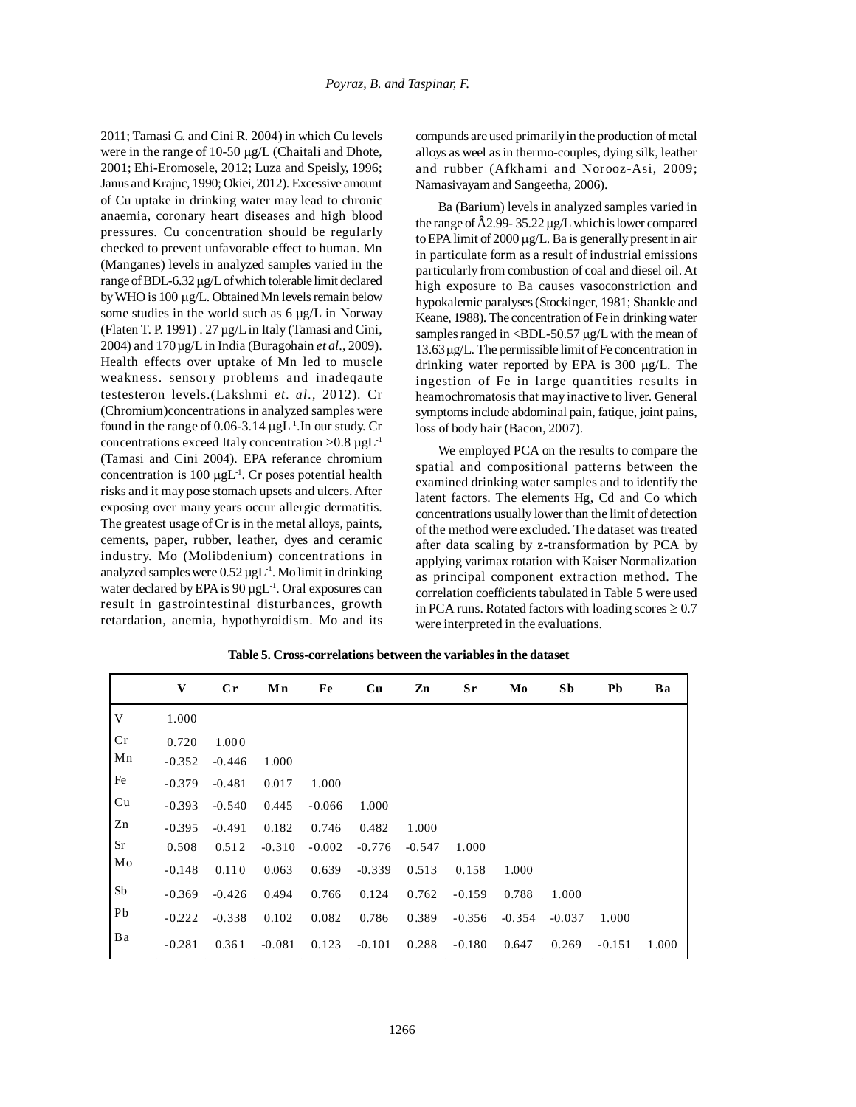2011; Tamasi G. and Cini R. 2004) in which Cu levels were in the range of 10-50 µg/L (Chaitali and Dhote, 2001; Ehi-Eromosele, 2012; Luza and Speisly, 1996; Janus and Krajnc, 1990; Okiei, 2012). Excessive amount of Cu uptake in drinking water may lead to chronic anaemia, coronary heart diseases and high blood pressures. Cu concentration should be regularly checked to prevent unfavorable effect to human. Mn (Manganes) levels in analyzed samples varied in the range of BDL-6.32 µg/L of which tolerable limit declared by WHO is 100 µg/L. Obtained Mn levels remain below some studies in the world such as  $6 \mu g/L$  in Norway (Flaten T. P. 1991) . 27 µg/L in Italy (Tamasi and Cini, 2004) and 170µg/L in India (Buragohain *et al*., 2009). Health effects over uptake of Mn led to muscle weakness. sensory problems and inadeqaute testesteron levels.(Lakshmi *et. al*., 2012). Cr (Chromium)concentrations in analyzed samples were found in the range of  $0.06-3.14 \mu gL^{-1}$ . In our study. Cr concentrations exceed Italy concentration  $>0.8 \mu gL^{-1}$ (Tamasi and Cini 2004). EPA referance chromium concentration is 100  $\mu g L^{-1}$ . Cr poses potential health risks and it may pose stomach upsets and ulcers. After exposing over many years occur allergic dermatitis. The greatest usage of Cr is in the metal alloys, paints, cements, paper, rubber, leather, dyes and ceramic industry. Mo (Molibdenium) concentrations in analyzed samples were  $0.52 \mu gL^{-1}$ . Mo limit in drinking water declared by EPA is  $90 \mu gL^{-1}$ . Oral exposures can result in gastrointestinal disturbances, growth retardation, anemia, hypothyroidism. Mo and its

compunds are used primarily in the production of metal alloys as weel as in thermo-couples, dying silk, leather and rubber (Afkhami and Norooz-Asi, 2009; Namasivayam and Sangeetha, 2006).

Ba (Barium) levels in analyzed samples varied in the range of Â2.99- 35.22 µg/L whichis lower compared to EPA limit of 2000 µg/L. Ba is generally present in air in particulate form as a result of industrial emissions particularly from combustion of coal and diesel oil. At high exposure to Ba causes vasoconstriction and hypokalemic paralyses (Stockinger, 1981; Shankle and Keane, 1988). The concentration of Fe in drinking water samples ranged in  $\langle$ BDL-50.57  $\mu$ g/L with the mean of 13.63µg/L. The permissible limit of Fe concentration in drinking water reported by EPA is 300 µg/L. The ingestion of Fe in large quantities results in heamochromatosis that may inactive to liver. General symptoms include abdominal pain, fatique, joint pains, loss of body hair (Bacon, 2007).

We employed PCA on the results to compare the spatial and compositional patterns between the examined drinking water samples and to identify the latent factors. The elements Hg, Cd and Co which concentrations usually lower than the limit of detection of the method were excluded. The dataset was treated after data scaling by z-transformation by PCA by applying varimax rotation with Kaiser Normalization as principal component extraction method. The correlation coefficients tabulated in Table 5 were used in PCA runs. Rotated factors with loading scores  $\geq 0.7$ were interpreted in the evaluations.

|    | V        | $C_{r}$  | Mn       | Fe       | Cu       | Zn       | Sr       | Mo       | Sb       | Pb       | Ba    |
|----|----------|----------|----------|----------|----------|----------|----------|----------|----------|----------|-------|
| V  | 1.000    |          |          |          |          |          |          |          |          |          |       |
| Cr | 0.720    | 1.000    |          |          |          |          |          |          |          |          |       |
| Mn | $-0.352$ | $-0.446$ | 1.000    |          |          |          |          |          |          |          |       |
| Fe | $-0.379$ | $-0.481$ | 0.017    | 1.000    |          |          |          |          |          |          |       |
| Cu | $-0.393$ | $-0.540$ | 0.445    | $-0.066$ | 1.000    |          |          |          |          |          |       |
| Zn | $-0.395$ | $-0.491$ | 0.182    | 0.746    | 0.482    | 1.000    |          |          |          |          |       |
| Sr | 0.508    | 0.512    | $-0.310$ | $-0.002$ | $-0.776$ | $-0.547$ | 1.000    |          |          |          |       |
| Mo | $-0.148$ | 0.110    | 0.063    | 0.639    | $-0.339$ | 0.513    | 0.158    | 1.000    |          |          |       |
| Sb | $-0.369$ | $-0.426$ | 0.494    | 0.766    | 0.124    | 0.762    | $-0.159$ | 0.788    | 1.000    |          |       |
| Pb | $-0.222$ | $-0.338$ | 0.102    | 0.082    | 0.786    | 0.389    | $-0.356$ | $-0.354$ | $-0.037$ | 1.000    |       |
| Ba | $-0.281$ | 0.361    | $-0.081$ | 0.123    | $-0.101$ | 0.288    | $-0.180$ | 0.647    | 0.269    | $-0.151$ | 1.000 |

**Table 5. Cross-correlations between the variables in the dataset**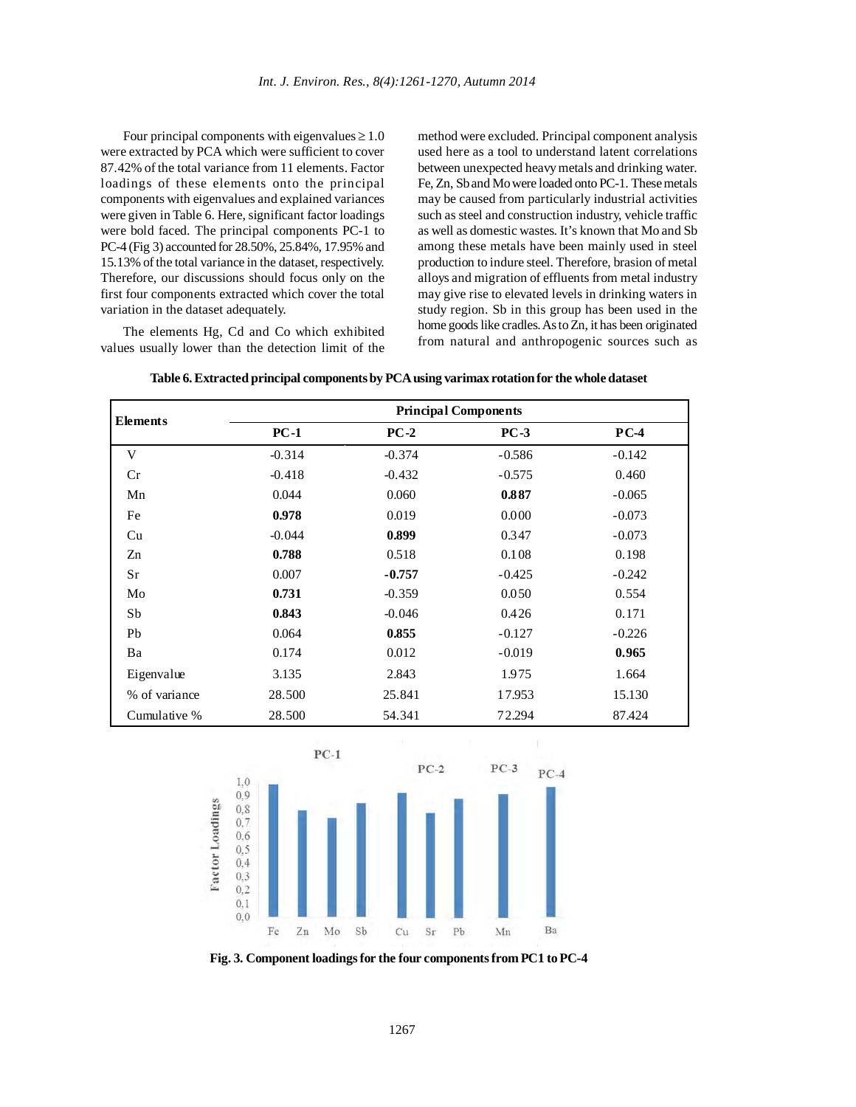Four principal components with eigenvalues  $\geq 1.0$ were extracted by PCA which were sufficient to cover 87.42% of the total variance from 11 elements. Factor loadings of these elements onto the principal components with eigenvalues and explained variances were given in Table 6. Here, significant factor loadings were bold faced. The principal components PC-1 to PC-4 (Fig 3) accounted for 28.50%, 25.84%, 17.95% and 15.13% of the total variance in the dataset, respectively. Therefore, our discussions should focus only on the first four components extracted which cover the total variation in the dataset adequately.

The elements Hg, Cd and Co which exhibited values usually lower than the detection limit of the

method were excluded. Principal component analysis used here as a tool to understand latent correlations between unexpected heavy metals and drinking water. Fe, Zn, Sb and Mo were loaded onto PC-1. These metals may be caused from particularly industrial activities such as steel and construction industry, vehicle traffic as well as domestic wastes. It's known that Mo and Sb among these metals have been mainly used in steel production to indure steel. Therefore, brasion of metal alloys and migration of effluents from metal industry may give rise to elevated levels in drinking waters in study region. Sb in this group has been used in the home goods like cradles. As to Zn, it has been originated from natural and anthropogenic sources such as

|                 |          |          | <b>Principal Components</b> |          |
|-----------------|----------|----------|-----------------------------|----------|
| <b>Elements</b> | $PC-1$   | $PC-2$   | $PC-3$                      | $PC-4$   |
| V               | $-0.314$ | $-0.374$ | $-0.586$                    | $-0.142$ |
| Cr              | $-0.418$ | $-0.432$ | $-0.575$                    | 0.460    |
| Mn              | 0.044    | 0.060    | 0.887                       | $-0.065$ |
| Fe              | 0.978    | 0.019    | 0.000                       | $-0.073$ |
| Cu              | $-0.044$ | 0.899    | 0.347                       | $-0.073$ |
| Zn              | 0.788    | 0.518    | 0.108                       | 0.198    |
| Sr              | 0.007    | $-0.757$ | $-0.425$                    | $-0.242$ |
| Mo              | 0.731    | $-0.359$ | 0.050                       | 0.554    |
| Sb              | 0.843    | $-0.046$ | 0.426                       | 0.171    |
| Pb              | 0.064    | 0.855    | $-0.127$                    | $-0.226$ |
| Ba              | 0.174    | 0.012    | $-0.019$                    | 0.965    |
| Eigenvalue      | 3.135    | 2.843    | 1.975                       | 1.664    |
| % of variance   | 28.500   | 25.841   | 17.953                      | 15.130   |
| Cumulative %    | 28.500   | 54.341   | 72.294                      | 87.424   |

**Table 6. Extracted principal components by PCA using varimax rotation for the whole dataset**



**Fig. 3. Component loadings for the four components from PC1 to PC-4**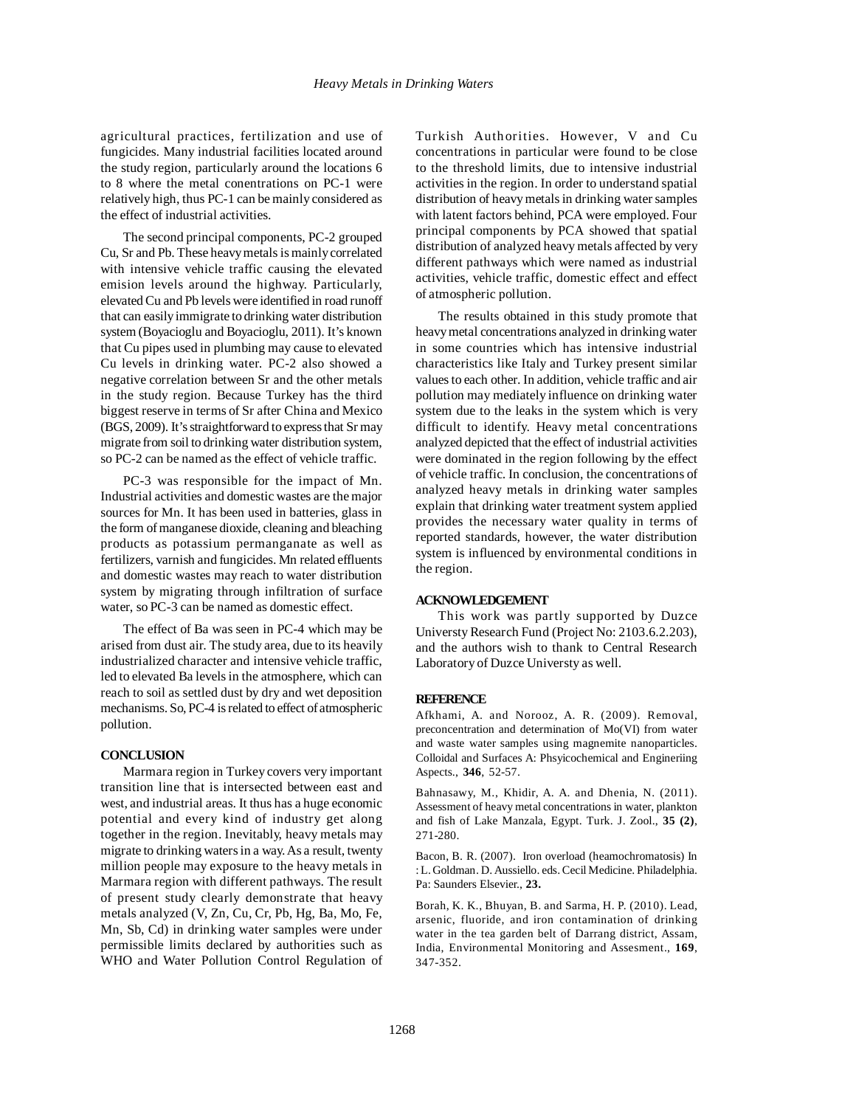agricultural practices, fertilization and use of fungicides. Many industrial facilities located around the study region, particularly around the locations 6 to 8 where the metal conentrations on PC-1 were relatively high, thus PC-1 can be mainly considered as the effect of industrial activities.

The second principal components, PC-2 grouped Cu, Sr and Pb. These heavy metals is mainly correlated with intensive vehicle traffic causing the elevated emision levels around the highway. Particularly, elevated Cu and Pb levels were identified in road runoff that can easily immigrate to drinking water distribution system (Boyacioglu and Boyacioglu, 2011). It's known that Cu pipes used in plumbing may cause to elevated Cu levels in drinking water. PC-2 also showed a negative correlation between Sr and the other metals in the study region. Because Turkey has the third biggest reserve in terms of Sr after China and Mexico (BGS, 2009). It's straightforward to express that Sr may migrate from soil to drinking water distribution system, so PC-2 can be named as the effect of vehicle traffic.

PC-3 was responsible for the impact of Mn. Industrial activities and domestic wastes are the major sources for Mn. It has been used in batteries, glass in the form of manganese dioxide, cleaning and bleaching products as potassium permanganate as well as fertilizers, varnish and fungicides. Mn related effluents and domestic wastes may reach to water distribution system by migrating through infiltration of surface water, so PC-3 can be named as domestic effect.

The effect of Ba was seen in PC-4 which may be arised from dust air. The study area, due to its heavily industrialized character and intensive vehicle traffic, led to elevated Ba levels in the atmosphere, which can reach to soil as settled dust by dry and wet deposition mechanisms. So, PC-4 is related to effect of atmospheric pollution.

#### **CONCLUSION**

Marmara region in Turkey covers very important transition line that is intersected between east and west, and industrial areas. It thus has a huge economic potential and every kind of industry get along together in the region. Inevitably, heavy metals may migrate to drinking waters in a way. As a result, twenty million people may exposure to the heavy metals in Marmara region with different pathways. The result of present study clearly demonstrate that heavy metals analyzed (V, Zn, Cu, Cr, Pb, Hg, Ba, Mo, Fe, Mn, Sb, Cd) in drinking water samples were under permissible limits declared by authorities such as WHO and Water Pollution Control Regulation of Turkish Authorities. However, V and Cu concentrations in particular were found to be close to the threshold limits, due to intensive industrial activities in the region. In order to understand spatial distribution of heavy metals in drinking water samples with latent factors behind, PCA were employed. Four principal components by PCA showed that spatial distribution of analyzed heavy metals affected by very different pathways which were named as industrial activities, vehicle traffic, domestic effect and effect of atmospheric pollution.

The results obtained in this study promote that heavy metal concentrations analyzed in drinking water in some countries which has intensive industrial characteristics like Italy and Turkey present similar values to each other. In addition, vehicle traffic and air pollution may mediately influence on drinking water system due to the leaks in the system which is very difficult to identify. Heavy metal concentrations analyzed depicted that the effect of industrial activities were dominated in the region following by the effect of vehicle traffic. In conclusion, the concentrations of analyzed heavy metals in drinking water samples explain that drinking water treatment system applied provides the necessary water quality in terms of reported standards, however, the water distribution system is influenced by environmental conditions in the region.

#### **ACKNOWLEDGEMENT**

This work was partly supported by Duzce Universty Research Fund (Project No: 2103.6.2.203), and the authors wish to thank to Central Research Laboratory of Duzce Universty as well.

# **REFERENCE**

Afkhami, A. and Norooz, A. R. (2009). Removal, preconcentration and determination of Mo(VI) from water and waste water samples using magnemite nanoparticles. Colloidal and Surfaces A: Phsyicochemical and Engineriing Aspects., **346**, 52-57.

Bahnasawy, M., Khidir, A. A. and Dhenia, N. (2011). Assessment of heavy metal concentrations in water, plankton and fish of Lake Manzala, Egypt. Turk. J. Zool., **35 (2)**, 271-280.

Bacon, B. R. (2007). Iron overload (heamochromatosis) In : L. Goldman. D. Aussiello. eds. Cecil Medicine. Philadelphia. Pa: Saunders Elsevier., **23.**

Borah, K. K., Bhuyan, B. and Sarma, H. P. (2010). Lead, arsenic, fluoride, and iron contamination of drinking water in the tea garden belt of Darrang district, Assam, India, Environmental Monitoring and Assesment., **169**, 347-352.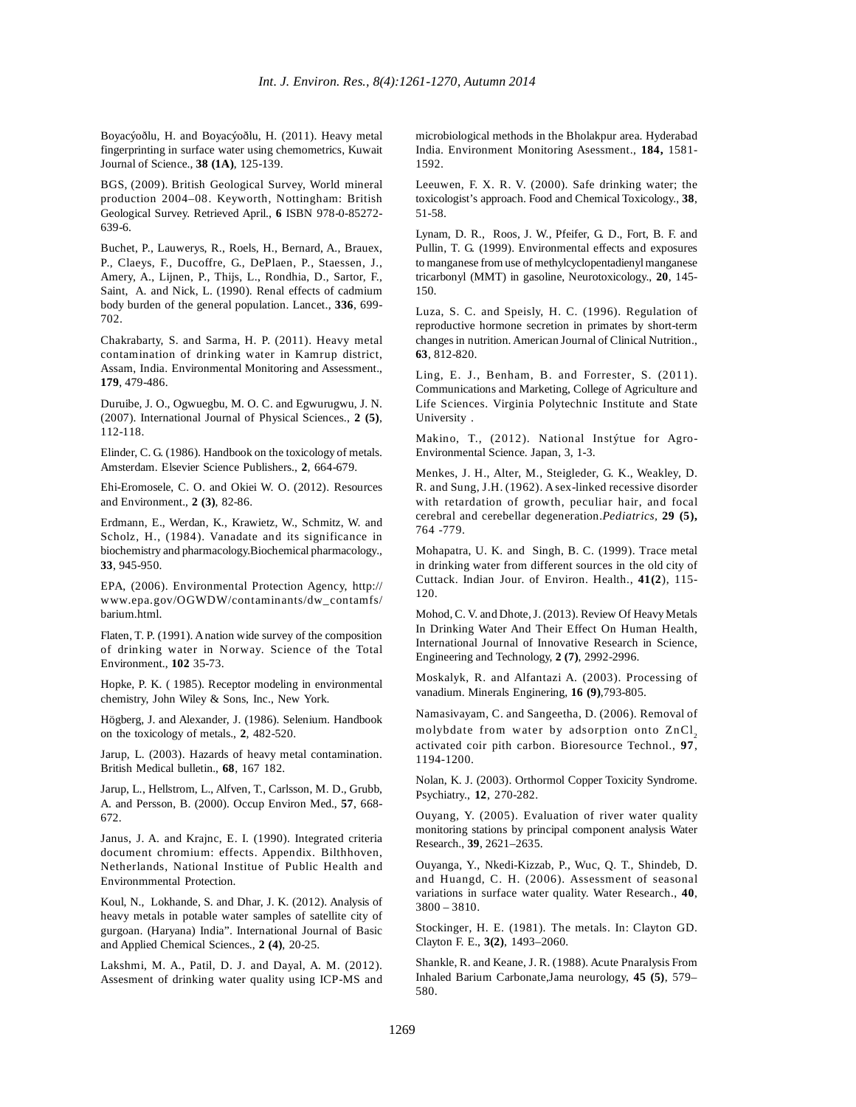Boyacýoðlu, H. and Boyacýoðlu, H. (2011). Heavy metal fingerprinting in surface water using chemometrics, Kuwait Journal of Science., **38 (1A)**, 125-139.

BGS, (2009). British Geological Survey, World mineral production 2004–08. Keyworth, Nottingham: British Geological Survey. Retrieved April., **6** ISBN 978-0-85272- 639-6.

Buchet, P., Lauwerys, R., Roels, H., Bernard, A., Brauex, P., Claeys, F., Ducoffre, G., DePlaen, P., Staessen, J., Amery, A., Lijnen, P., Thijs, L., Rondhia, D., Sartor, F., Saint, A. and Nick, L. (1990). Renal effects of cadmium body burden of the general population. Lancet., **336**, 699- 702.

Chakrabarty, S. and Sarma, H. P. (2011). Heavy metal contamination of drinking water in Kamrup district, Assam, India. Environmental Monitoring and Assessment., **179**, 479-486.

Duruibe, J. O., Ogwuegbu, M. O. C. and Egwurugwu, J. N. (2007). International Journal of Physical Sciences., **2 (5)**, 112-118.

Elinder, C. G. (1986). Handbook on the toxicology of metals. Amsterdam. Elsevier Science Publishers., **2**, 664-679.

Ehi-Eromosele, C. O. and Okiei W. O. (2012). Resources and Environment., **2 (3)**, 82-86.

Erdmann, E., Werdan, K., Krawietz, W., Schmitz, W. and Scholz, H., (1984). Vanadate and its significance in biochemistry and pharmacology.Biochemical pharmacology.*,* **33**, 945-950.

EPA, (2006). Environmental Protection Agency, http:// www.epa.gov/OGWDW/contaminants/dw\_contamfs/ barium.html.

Flaten, T. P. (1991). A nation wide survey of the composition of drinking water in Norway. Science of the Total Environment., **102** 35-73.

Hopke, P. K. ( 1985). Receptor modeling in environmental chemistry, John Wiley & Sons, Inc., New York.

Högberg, J. and Alexander, J. (1986). Selenium. Handbook on the toxicology of metals., **2**, 482-520.

Jarup, L. (2003). Hazards of heavy metal contamination. British Medical bulletin., **68**, 167 182.

Jarup, L., Hellstrom, L., Alfven, T., Carlsson, M. D., Grubb, A. and Persson, B. (2000). Occup Environ Med., **57**, 668- 672.

Janus, J. A. and Krajnc, E. I. (1990). Integrated criteria document chromium: effects. Appendix. Bilthhoven, Netherlands, National Institue of Public Health and Environmmental Protection.

Koul, N., Lokhande, S. and Dhar, J. K. (2012). Analysis of heavy metals in potable water samples of satellite city of gurgoan. (Haryana) India". International Journal of Basic and Applied Chemical Sciences., **2 (4)**, 20-25.

Lakshmi, M. A., Patil, D. J. and Dayal, A. M. (2012). Assesment of drinking water quality using ICP-MS and microbiological methods in the Bholakpur area. Hyderabad India. Environment Monitoring Asessment., **184,** 1581- 1592.

Leeuwen, F. X. R. V. (2000). Safe drinking water; the toxicologist's approach. Food and Chemical Toxicology., **38**, 51-58.

Lynam, D. R., Roos, J. W., Pfeifer, G. D., Fort, B. F. and Pullin, T. G. (1999). Environmental effects and exposures to manganese from use of methylcyclopentadienyl manganese tricarbonyl (MMT) in gasoline, Neurotoxicology., **20**, 145- 150.

Luza, S. C. and Speisly, H. C. (1996). Regulation of reproductive hormone secretion in primates by short-term changes in nutrition. American Journal of Clinical Nutrition., **63**, 812-820.

Ling, E. J., Benham, B. and Forrester, S. (2011). Communications and Marketing, College of Agriculture and Life Sciences. Virginia Polytechnic Institute and State University .

Makino, T., (2012). National Instýtue for Agro-Environmental Science. Japan, 3, 1-3.

Menkes, J. H., Alter, M., Steigleder, G. K., Weakley, D. R. and Sung, J.H. (1962). A sex-linked recessive disorder with retardation of growth, peculiar hair, and focal cerebral and cerebellar degeneration.*Pediatrics,* **29 (5),** 764 -779.

Mohapatra, U. K. and Singh, B. C. (1999). Trace metal in drinking water from different sources in the old city of Cuttack. Indian Jour. of Environ. Health., **41(2**), 115- 120.

Mohod, C. V. and Dhote, J. (2013). Review Of Heavy Metals In Drinking Water And Their Effect On Human Health, International Journal of Innovative Research in Science, Engineering and Technology, **2 (7)**, 2992-2996.

Moskalyk, R. and Alfantazi A. (2003). Processing of vanadium. Minerals Enginering, **16 (9)**,793-805.

Namasivayam, C. and Sangeetha, D. (2006). Removal of molybdate from water by adsorption onto  $ZnCl<sub>2</sub>$ activated coir pith carbon. Bioresource Technol., **97**, 1194-1200.

Nolan, K. J. (2003). Orthormol Copper Toxicity Syndrome. Psychiatry., **12**, 270-282.

Ouyang, Y. (2005). Evaluation of river water quality monitoring stations by principal component analysis Water Research., **39**, 2621–2635.

Ouyanga, Y., Nkedi-Kizzab, P., Wuc, Q. T., Shindeb, D. and Huangd, C. H. (2006). Assessment of seasonal variations in surface water quality. Water Research., **40**, 3800 – 3810.

Stockinger, H. E. (1981). The metals. In: Clayton GD. Clayton F. E., **3(2)**, 1493–2060.

Shankle, R. and Keane, J. R. (1988). Acute Pnaralysis From Inhaled Barium Carbonate,Jama neurology, **45 (5)**, 579– 580.